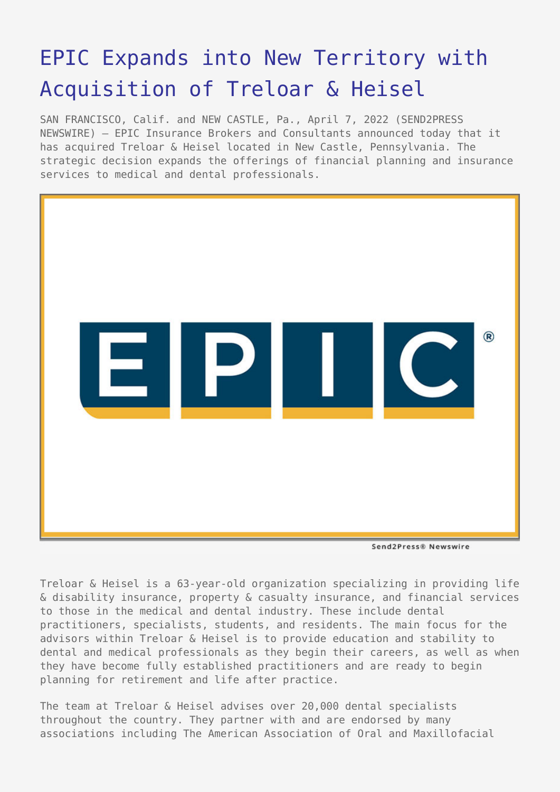# [EPIC Expands into New Territory with](https://www.send2press.com/wire/epic-expands-into-new-territory-with-acquisition-of-treloar-heisel/) [Acquisition of Treloar & Heisel](https://www.send2press.com/wire/epic-expands-into-new-territory-with-acquisition-of-treloar-heisel/)

SAN FRANCISCO, Calif. and NEW CASTLE, Pa., April 7, 2022 (SEND2PRESS NEWSWIRE) — EPIC Insurance Brokers and Consultants announced today that it has acquired Treloar & Heisel located in New Castle, Pennsylvania. The strategic decision expands the offerings of financial planning and insurance services to medical and dental professionals.



Send2Press® Newswire

Treloar & Heisel is a 63-year-old organization specializing in providing life & disability insurance, property & casualty insurance, and financial services to those in the medical and dental industry. These include dental practitioners, specialists, students, and residents. The main focus for the advisors within Treloar & Heisel is to provide education and stability to dental and medical professionals as they begin their careers, as well as when they have become fully established practitioners and are ready to begin planning for retirement and life after practice.

The team at Treloar & Heisel advises over 20,000 dental specialists throughout the country. They partner with and are endorsed by many associations including The American Association of Oral and Maxillofacial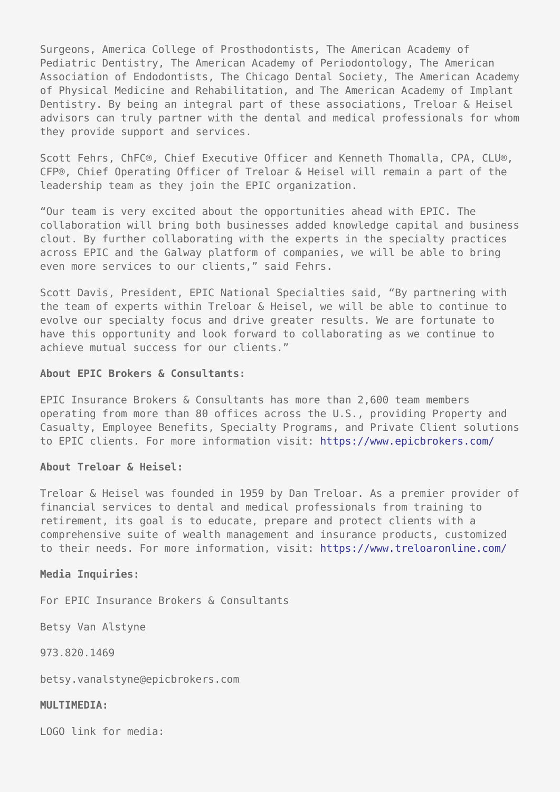Surgeons, America College of Prosthodontists, The American Academy of Pediatric Dentistry, The American Academy of Periodontology, The American Association of Endodontists, The Chicago Dental Society, The American Academy of Physical Medicine and Rehabilitation, and The American Academy of Implant Dentistry. By being an integral part of these associations, Treloar & Heisel advisors can truly partner with the dental and medical professionals for whom they provide support and services.

Scott Fehrs, ChFC®, Chief Executive Officer and Kenneth Thomalla, CPA, CLU®, CFP®, Chief Operating Officer of Treloar & Heisel will remain a part of the leadership team as they join the EPIC organization.

"Our team is very excited about the opportunities ahead with EPIC. The collaboration will bring both businesses added knowledge capital and business clout. By further collaborating with the experts in the specialty practices across EPIC and the Galway platform of companies, we will be able to bring even more services to our clients," said Fehrs.

Scott Davis, President, EPIC National Specialties said, "By partnering with the team of experts within Treloar & Heisel, we will be able to continue to evolve our specialty focus and drive greater results. We are fortunate to have this opportunity and look forward to collaborating as we continue to achieve mutual success for our clients."

## **About EPIC Brokers & Consultants:**

EPIC Insurance Brokers & Consultants has more than 2,600 team members operating from more than 80 offices across the U.S., providing Property and Casualty, Employee Benefits, Specialty Programs, and Private Client solutions to EPIC clients. For more information visit: <https://www.epicbrokers.com/>

### **About Treloar & Heisel:**

Treloar & Heisel was founded in 1959 by Dan Treloar. As a premier provider of financial services to dental and medical professionals from training to retirement, its goal is to educate, prepare and protect clients with a comprehensive suite of wealth management and insurance products, customized to their needs. For more information, visit: <https://www.treloaronline.com/>

### **Media Inquiries:**

For EPIC Insurance Brokers & Consultants

Betsy Van Alstyne

973.820.1469

betsy.vanalstyne@epicbrokers.com

### **MULTIMEDIA:**

LOGO link for media: